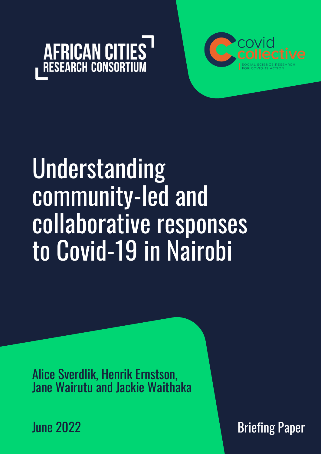



# Understanding community-led and collaborative responses to Covid-19 in Nairobi

Alice Sverdlik, Henrik Ernstson, Jane Wairutu and Jackie Waithaka

June 2022

Briefing Paper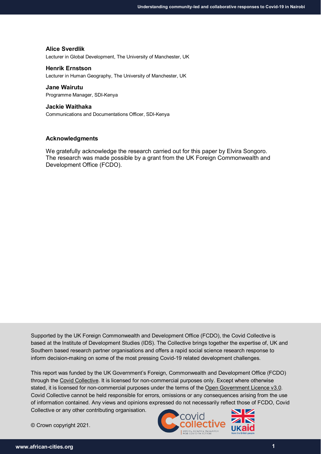#### **Alice Sverdlik**

Lecturer in Global Development, The University of Manchester, UK

#### **Henrik Ernstson**

Lecturer in Human Geography, The University of Manchester, UK

#### **Jane Wairutu**

Programme Manager, SDI-Kenya

#### **Jackie Waithaka**

Communications and Documentations Officer, SDI-Kenya

#### **Acknowledgments**

We gratefully acknowledge the research carried out for this paper by Elvira Songoro. The research was made possible by a grant from the UK Foreign Commonwealth and Development Office (FCDO).

Supported by the UK Foreign Commonwealth and Development Office (FCDO), the Covid Collective is based at the Institute of Development Studies (IDS). The Collective brings together the expertise of, UK and Southern based research partner organisations and offers a rapid social science research response to inform decision-making on some of the most pressing Covid-19 related development challenges.

This report was funded by the UK Government's Foreign, Commonwealth and Development Office (FCDO) through the [Covid Collective.](https://www.ids.ac.uk/projects/covid-collective/) It is licensed for non-commercial purposes only. Except where otherwise stated, it is licensed for non-commercial purposes under the terms of the [Open Government Licence v3.0.](https://www.nationalarchives.gov.uk/doc/open-government-licence/version/3/) Covid Collective cannot be held responsible for errors, omissions or any consequences arising from the use of information contained. Any views and opinions expressed do not necessarily reflect those of FCDO, Covid Collective or any other contributing organisation.

© Crown copyright 2021.

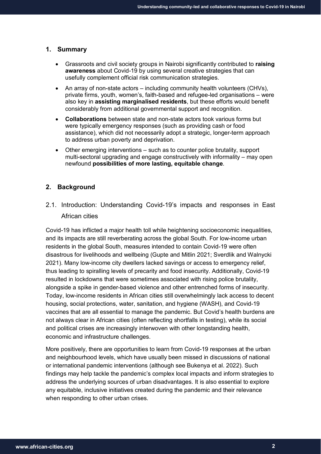### **1. Summary**

- Grassroots and civil society groups in Nairobi significantly contributed to **raising awareness** about Covid-19 by using several creative strategies that can usefully complement official risk communication strategies.
- An array of non-state actors including community health volunteers (CHVs), private firms, youth, women's, faith-based and refugee-led organisations – were also key in **assisting marginalised residents**, but these efforts would benefit considerably from additional governmental support and recognition.
- **Collaborations** between state and non-state actors took various forms but were typically emergency responses (such as providing cash or food assistance), which did not necessarily adopt a strategic, longer-term approach to address urban poverty and deprivation.
- Other emerging interventions such as to counter police brutality, support multi-sectoral upgrading and engage constructively with informality – may open newfound **possibilities of more lasting, equitable change**.

# **2. Background**

2.1. Introduction: Understanding Covid-19's impacts and responses in East African cities

Covid-19 has inflicted a major health toll while heightening socioeconomic inequalities, and its impacts are still reverberating across the global South. For low-income urban residents in the global South, measures intended to contain Covid-19 were often disastrous for livelihoods and wellbeing (Gupte and Mitlin 2021; Sverdlik and Walnycki 2021). Many low-income city dwellers lacked savings or access to emergency relief, thus leading to spiralling levels of precarity and food insecurity. Additionally, Covid-19 resulted in lockdowns that were sometimes associated with rising police brutality, alongside a spike in gender-based violence and other entrenched forms of insecurity. Today, low-income residents in African cities still overwhelmingly lack access to decent housing, social protections, water, sanitation, and hygiene (WASH), and Covid-19 vaccines that are all essential to manage the pandemic. But Covid's health burdens are not always clear in African cities (often reflecting shortfalls in testing), while its social and political crises are increasingly interwoven with other longstanding health, economic and infrastructure challenges.

More positively, there are opportunities to learn from Covid-19 responses at the urban and neighbourhood levels, which have usually been missed in discussions of national or international pandemic interventions (although see Bukenya et al. 2022). Such findings may help tackle the pandemic's complex local impacts and inform strategies to address the underlying sources of urban disadvantages. It is also essential to explore any equitable, inclusive initiatives created during the pandemic and their relevance when responding to other urban crises.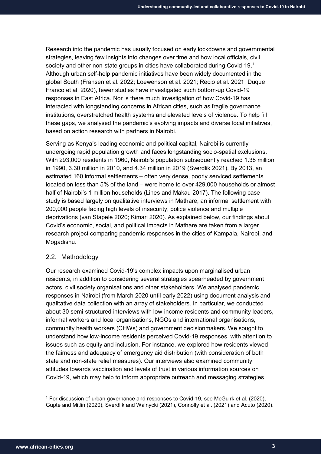Research into the pandemic has usually focused on early lockdowns and governmental strategies, leaving few insights into changes over time and how local officials, civil society and other non-state groups in cities have collaborated during Covid-[1](#page-3-0)9.<sup>1</sup> Although urban self-help pandemic initiatives have been widely documented in the global South (Fransen et al. 2022; Loewenson et al. 2021; Recio et al. 2021; Duque Franco et al. 2020), fewer studies have investigated such bottom-up Covid-19 responses in East Africa. Nor is there much investigation of how Covid-19 has interacted with longstanding concerns in African cities, such as fragile governance institutions, overstretched health systems and elevated levels of violence. To help fill these gaps, we analysed the pandemic's evolving impacts and diverse local initiatives, based on action research with partners in Nairobi.

Serving as Kenya's leading economic and political capital, Nairobi is currently undergoing rapid population growth and faces longstanding socio-spatial exclusions. With 293,000 residents in 1960, Nairobi's population subsequently reached 1.38 million in 1990, 3.30 million in 2010, and 4.34 million in 2019 (Sverdlik 2021). By 2013, an estimated 160 informal settlements – often very dense, poorly serviced settlements located on less than 5% of the land – were home to over 429,000 households or almost half of Nairobi's 1 million households (Lines and Makau 2017). The following case study is based largely on qualitative interviews in Mathare, an informal settlement with 200,000 people facing high levels of insecurity, police violence and multiple deprivations (van Stapele 2020; Kimari 2020). As explained below, our findings about Covid's economic, social, and political impacts in Mathare are taken from a larger research project comparing pandemic responses in the cities of Kampala, Nairobi, and Mogadishu.

### 2.2. Methodology

Our research examined Covid-19's complex impacts upon marginalised urban residents, in addition to considering several strategies spearheaded by government actors, civil society organisations and other stakeholders. We analysed pandemic responses in Nairobi (from March 2020 until early 2022) using document analysis and qualitative data collection with an array of stakeholders. In particular, we conducted about 30 semi-structured interviews with low-income residents and community leaders, informal workers and local organisations, NGOs and international organisations, community health workers (CHWs) and government decisionmakers. We sought to understand how low-income residents perceived Covid-19 responses, with attention to issues such as equity and inclusion. For instance, we explored how residents viewed the fairness and adequacy of emergency aid distribution (with consideration of both state and non-state relief measures). Our interviews also examined community attitudes towards vaccination and levels of trust in various information sources on Covid-19, which may help to inform appropriate outreach and messaging strategies

<span id="page-3-0"></span> <sup>1</sup> For discussion of urban governance and responses to Covid-19, see McGuirk et al*.* (2020), Gupte and Mitlin (2020), Sverdlik and Walnycki (2021), Connolly et al. (2021) and Acuto (2020).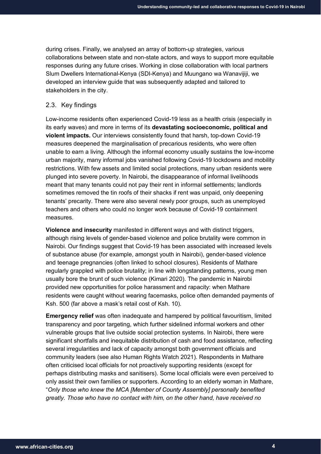during crises. Finally, we analysed an array of bottom-up strategies, various collaborations between state and non-state actors, and ways to support more equitable responses during any future crises. Working in close collaboration with local partners Slum Dwellers International-Kenya (SDI-Kenya) and Muungano wa Wanavijiji, we developed an interview guide that was subsequently adapted and tailored to stakeholders in the city.

# 2.3. Key findings

Low-income residents often experienced Covid-19 less as a health crisis (especially in its early waves) and more in terms of its **devastating socioeconomic, political and violent impacts.** Our interviews consistently found that harsh, top-down Covid-19 measures deepened the marginalisation of precarious residents, who were often unable to earn a living. Although the informal economy usually sustains the low-income urban majority, many informal jobs vanished following Covid-19 lockdowns and mobility restrictions. With few assets and limited social protections, many urban residents were plunged into severe poverty. In Nairobi, the disappearance of informal livelihoods meant that many tenants could not pay their rent in informal settlements; landlords sometimes removed the tin roofs of their shacks if rent was unpaid, only deepening tenants' precarity. There were also several newly poor groups, such as unemployed teachers and others who could no longer work because of Covid-19 containment measures.

**Violence and insecurity** manifested in different ways and with distinct triggers, although rising levels of gender-based violence and police brutality were common in Nairobi. Our findings suggest that Covid-19 has been associated with increased levels of substance abuse (for example, amongst youth in Nairobi), gender-based violence and teenage pregnancies (often linked to school closures). Residents of Mathare regularly grappled with police brutality; in line with longstanding patterns, young men usually bore the brunt of such violence (Kimari 2020). The pandemic in Nairobi provided new opportunities for police harassment and rapacity: when Mathare residents were caught without wearing facemasks, police often demanded payments of Ksh. 500 (far above a mask's retail cost of Ksh. 10).

**Emergency relief** was often inadequate and hampered by political favouritism, limited transparency and poor targeting, which further sidelined informal workers and other vulnerable groups that live outside social protection systems. In Nairobi, there were significant shortfalls and inequitable distribution of cash and food assistance, reflecting several irregularities and lack of capacity amongst both government officials and community leaders (see also Human Rights Watch 2021). Respondents in Mathare often criticised local officials for not proactively supporting residents (except for perhaps distributing masks and sanitisers). Some local officials were even perceived to only assist their own families or supporters. According to an elderly woman in Mathare, "*Only those who knew the MCA [Member of County Assembly] personally benefited greatly. Those who have no contact with him, on the other hand, have received no*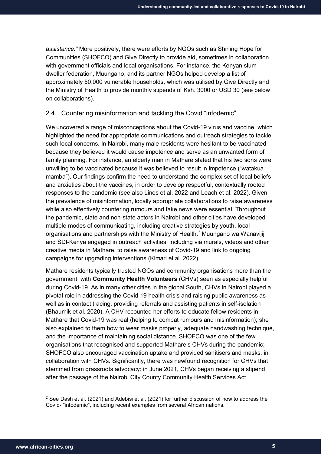*assistance."* More positively, there were efforts by NGOs such as Shining Hope for Communities (SHOFCO) and Give Directly to provide aid, sometimes in collaboration with government officials and local organisations. For instance, the Kenyan slumdweller federation, Muungano, and its partner NGOs helped develop a list of approximately 50,000 vulnerable households, which was utilised by Give Directly and the Ministry of Health to provide monthly stipends of Ksh. 3000 or USD 30 (see below on collaborations).

## 2.4. Countering misinformation and tackling the Covid "infodemic"

We uncovered a range of misconceptions about the Covid-19 virus and vaccine, which highlighted the need for appropriate communications and outreach strategies to tackle such local concerns. In Nairobi, many male residents were hesitant to be vaccinated because they believed it would cause impotence and serve as an unwanted form of family planning. For instance, an elderly man in Mathare stated that his two sons were unwilling to be vaccinated because it was believed to result in impotence ("watakua mamba"). Our findings confirm the need to understand the complex set of local beliefs and anxieties about the vaccines, in order to develop respectful, contextually rooted responses to the pandemic (see also Lines et al. 2022 and Leach et al. 2022). Given the prevalence of misinformation, locally appropriate collaborations to raise awareness while also effectively countering rumours and fake news were essential. Throughout the pandemic, state and non-state actors in Nairobi and other cities have developed multiple modes of communicating, including creative strategies by youth, local organisations and partnerships with the Ministry of Health. $<sup>2</sup>$  $<sup>2</sup>$  $<sup>2</sup>$  Muungano wa Wanaviiiii</sup> and SDI-Kenya engaged in outreach activities, including via murals, videos and other creative media in Mathare, to raise awareness of Covid-19 and link to ongoing campaigns for upgrading interventions (Kimari et al*.* 2022).

Mathare residents typically trusted NGOs and community organisations more than the government, with **Community Health Volunteers** (CHVs) seen as especially helpful during Covid-19. As in many other cities in the global South, CHVs in Nairobi played a pivotal role in addressing the Covid-19 health crisis and raising public awareness as well as in contact tracing, providing referrals and assisting patients in self-isolation (Bhaumik et al. 2020). A CHV recounted her efforts to educate fellow residents in Mathare that Covid-19 was real (helping to combat rumours and misinformation); she also explained to them how to wear masks properly, adequate handwashing technique, and the importance of maintaining social distance. SHOFCO was one of the few organisations that recognised and supported Mathare's CHVs during the pandemic; SHOFCO also encouraged vaccination uptake and provided sanitisers and masks, in collaboration with CHVs. Significantly, there was newfound recognition for CHVs that stemmed from grassroots advocacy: in June 2021, CHVs began receiving a stipend after the passage of the Nairobi City County Community Health Services Act

<span id="page-5-0"></span> $2$  See Dash et al. (2021) and Adebisi et al. (2021) for further discussion of how to address the Covid- "infodemic", including recent examples from several African nations.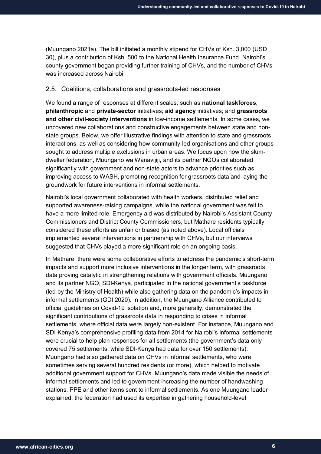(Muungano 2021a). The bill initiated a monthly stipend for CHVs of Ksh. 3,000 (USD 30), plus a contribution of Ksh. 500 to the National Health Insurance Fund. Nairobi's county government began providing further training of CHVs, and the number of CHVs was increased across Nairobi.

## 2.5. Coalitions, collaborations and grassroots-led responses

We found a range of responses at different scales, such as **national taskforces**; **philanthropic** and **private-sector** initiatives; **aid agency** initiatives; and **grassroots and other civil-society interventions** in low-income settlements. In some cases, we uncovered new collaborations and constructive engagements between state and nonstate groups. Below, we offer illustrative findings with attention to state and grassroots interactions, as well as considering how community-led organisations and other groups sought to address multiple exclusions in urban areas. We focus upon how the slumdweller federation, Muungano wa Wanavijiji, and its partner NGOs collaborated significantly with government and non-state actors to advance priorities such as improving access to WASH, promoting recognition for grassroots data and laying the groundwork for future interventions in informal settlements.

Nairobi's local government collaborated with health workers, distributed relief and supported awareness-raising campaigns, while the national government was felt to have a more limited role. Emergency aid was distributed by Nairobi's Assistant County Commissioners and District County Commissioners, but Mathare residents typically considered these efforts as unfair or biased (as noted above). Local officials implemented several interventions in partnership with CHVs, but our interviews suggested that CHVs played a more significant role on an ongoing basis.

In Mathare, there were some collaborative efforts to address the pandemic's short-term impacts and support more inclusive interventions in the longer term, with grassroots data proving catalytic in strengthening relations with government officials. Muungano and its partner NGO, SDI-Kenya, participated in the national government's taskforce (led by the Ministry of Health) while also gathering data on the pandemic's impacts in informal settlements (GDI 2020). In addition, the Muungano Alliance contributed to official guidelines on Covid-19 isolation and, more generally, demonstrated the significant contributions of grassroots data in responding to crises in informal settlements, where official data were largely non-existent. For instance, Muungano and SDI-Kenya's comprehensive profiling data from 2014 for Nairobi's informal settlements were crucial to help plan responses for all settlements (the government's data only covered 75 settlements, while SDI-Kenya had data for over 150 settlements). Muungano had also gathered data on CHVs in informal settlements, who were sometimes serving several hundred residents (or more), which helped to motivate additional government support for CHVs. Muungano's data made visible the needs of informal settlements and led to government increasing the number of handwashing stations, PPE and other items sent to informal settlements. As one Muungano leader explained, the federation had used its expertise in gathering household-level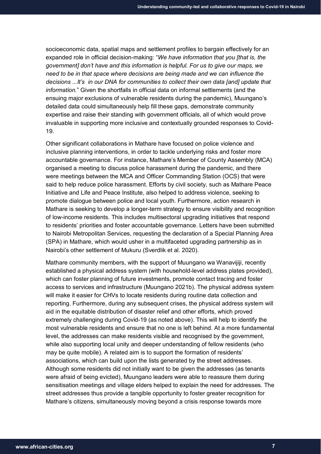socioeconomic data, spatial maps and settlement profiles to bargain effectively for an expanded role in official decision-making: "*We have information that you [that is, the government] don't have and this information is helpful. For us to give our maps, we need to be in that space where decisions are being made and we can influence the decisions ...It's in our DNA for communities to collect their own data [and] update that information.*" Given the shortfalls in official data on informal settlements (and the ensuing major exclusions of vulnerable residents during the pandemic), Muungano's detailed data could simultaneously help fill these gaps, demonstrate community expertise and raise their standing with government officials, all of which would prove invaluable in supporting more inclusive and contextually grounded responses to Covid-19.

Other significant collaborations in Mathare have focused on police violence and inclusive planning interventions, in order to tackle underlying risks and foster more accountable governance. For instance, Mathare's Member of County Assembly (MCA) organised a meeting to discuss police harassment during the pandemic, and there were meetings between the MCA and Officer Commanding Station (OCS) that were said to help reduce police harassment. Efforts by civil society, such as Mathare Peace Initiative and Life and Peace Institute, also helped to address violence, seeking to promote dialogue between police and local youth. Furthermore, action research in Mathare is seeking to develop a longer-term strategy to ensure visibility and recognition of low-income residents. This includes multisectoral upgrading initiatives that respond to residents' priorities and foster accountable governance. Letters have been submitted to Nairobi Metropolitan Services, requesting the declaration of a Special Planning Area (SPA) in Mathare, which would usher in a multifaceted upgrading partnership as in Nairobi's other settlement of Mukuru (Sverdlik et al. 2020).

Mathare community members, with the support of Muungano wa Wanavijiji, recently established a physical address system (with household-level address plates provided), which can foster planning of future investments, promote contact tracing and foster access to services and infrastructure (Muungano 2021b). The physical address system will make it easier for CHVs to locate residents during routine data collection and reporting. Furthermore, during any subsequent crises, the physical address system will aid in the equitable distribution of disaster relief and other efforts, which proved extremely challenging during Covid-19 (as noted above). This will help to identify the most vulnerable residents and ensure that no one is left behind. At a more fundamental level, the addresses can make residents visible and recognised by the government, while also supporting local unity and deeper understanding of fellow residents (who may be quite mobile). A related aim is to support the formation of residents' associations, which can build upon the lists generated by the street addresses. Although some residents did not initially want to be given the addresses (as tenants were afraid of being evicted), Muungano leaders were able to reassure them during sensitisation meetings and village elders helped to explain the need for addresses. The street addresses thus provide a tangible opportunity to foster greater recognition for Mathare's citizens, simultaneously moving beyond a crisis response towards more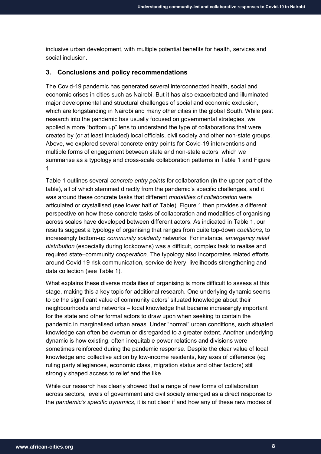inclusive urban development, with multiple potential benefits for health, services and social inclusion.

### **3. Conclusions and policy recommendations**

The Covid-19 pandemic has generated several interconnected health, social and economic crises in cities such as Nairobi. But it has also exacerbated and illuminated major developmental and structural challenges of social and economic exclusion, which are longstanding in Nairobi and many other cities in the global South. While past research into the pandemic has usually focused on governmental strategies, we applied a more "bottom up" lens to understand the type of collaborations that were created by (or at least included) local officials, civil society and other non-state groups. Above, we explored several concrete entry points for Covid-19 interventions and multiple forms of engagement between state and non-state actors, which we summarise as a typology and cross-scale collaboration patterns in Table 1 and Figure 1.

Table 1 outlines several *concrete entry points* for collaboration (in the upper part of the table), all of which stemmed directly from the pandemic's specific challenges, and it was around these concrete tasks that different *modalities of collaboration* were articulated or crystallised (see lower half of Table). Figure 1 then provides a different perspective on how these concrete tasks of collaboration and modalities of organising across scales have developed between different actors. As indicated in Table 1, our results suggest a typology of organising that ranges from quite top-down *coalitions*, to increasingly bottom-up *community solidarity* networks. For instance, *emergency relief distribution* (especially during lockdowns) was a difficult, complex task to realise and required state–community *cooperation*. The typology also incorporates related efforts around Covid-19 risk communication, service delivery, livelihoods strengthening and data collection (see Table 1).

What explains these diverse modalities of organising is more difficult to assess at this stage, making this a key topic for additional research. One underlying dynamic seems to be the significant value of community actors' situated knowledge about their neighbourhoods and networks – local knowledge that became increasingly important for the state and other formal actors to draw upon when seeking to contain the pandemic in marginalised urban areas. Under "normal" urban conditions, such situated knowledge can often be overrun or disregarded to a greater extent. Another underlying dynamic is how existing, often inequitable power relations and divisions were sometimes reinforced during the pandemic response. Despite the clear value of local knowledge and collective action by low-income residents, key axes of difference (eg ruling party allegiances, economic class, migration status and other factors) still strongly shaped access to relief and the like.

While our research has clearly showed that a range of new forms of collaboration across sectors, levels of government and civil society emerged as a direct response to the *pandemic's specific dynamics*, it is not clear if and how any of these new modes of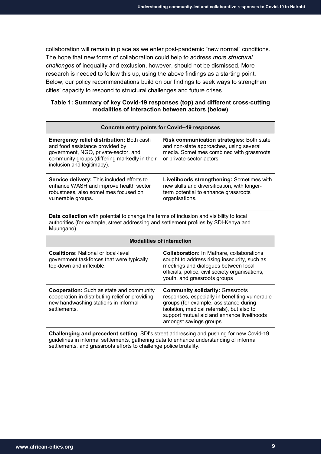collaboration will remain in place as we enter post-pandemic "new normal" conditions. The hope that new forms of collaboration could help to address *more structural challenges* of inequality and exclusion, however, should not be dismissed. More research is needed to follow this up, using the above findings as a starting point. Below, our policy recommendations build on our findings to seek ways to strengthen cities' capacity to respond to structural challenges and future crises.

# **Table 1: Summary of key Covid-19 responses (top) and different cross-cutting modalities of interaction between actors (below)**

| <b>Concrete entry points for Covid--19 responses</b>                                                                                                                                                                                                     |                                                                                                                                                                                                                                                            |
|----------------------------------------------------------------------------------------------------------------------------------------------------------------------------------------------------------------------------------------------------------|------------------------------------------------------------------------------------------------------------------------------------------------------------------------------------------------------------------------------------------------------------|
| <b>Emergency relief distribution: Both cash</b><br>and food assistance provided by<br>government, NGO, private-sector, and<br>community groups (differing markedly in their<br>inclusion and legitimacy).                                                | Risk communication strategies: Both state<br>and non-state approaches, using several<br>media. Sometimes combined with grassroots<br>or private-sector actors.                                                                                             |
| Service delivery: This included efforts to<br>enhance WASH and improve health sector<br>robustness, also sometimes focused on<br>vulnerable groups.                                                                                                      | Livelihoods strengthening: Sometimes with<br>new skills and diversification, with longer-<br>term potential to enhance grassroots<br>organisations.                                                                                                        |
| Data collection with potential to change the terms of inclusion and visibility to local<br>authorities (for example, street addressing and settlement profiles by SDI-Kenya and<br>Muungano).                                                            |                                                                                                                                                                                                                                                            |
| <b>Modalities of interaction</b>                                                                                                                                                                                                                         |                                                                                                                                                                                                                                                            |
| <b>Coalitions: National or local-level</b><br>government taskforces that were typically<br>top-down and inflexible.                                                                                                                                      | <b>Collaboration:</b> In Mathare, collaborations<br>sought to address rising insecurity, such as<br>meetings and dialogues between local<br>officials, police, civil society organisations,<br>youth, and grassroots groups                                |
| <b>Cooperation:</b> Such as state and community<br>cooperation in distributing relief or providing<br>new handwashing stations in informal<br>settlements.                                                                                               | <b>Community solidarity: Grassroots</b><br>responses, especially in benefiting vulnerable<br>groups (for example, assistance during<br>isolation, medical referrals), but also to<br>support mutual aid and enhance livelihoods<br>amongst savings groups. |
| Challenging and precedent setting: SDI's street addressing and pushing for new Covid-19<br>guidelines in informal settlements, gathering data to enhance understanding of informal<br>settlements, and grassroots efforts to challenge police brutality. |                                                                                                                                                                                                                                                            |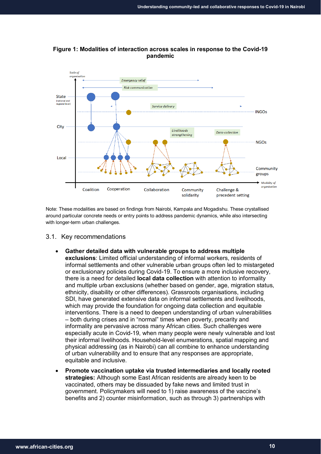

**Figure 1: Modalities of interaction across scales in response to the Covid-19 pandemic**

Note: These modalities are based on findings from Nairobi, Kampala and Mogadishu. These crystallised around particular concrete needs or entry points to address pandemic dynamics, while also intersecting with longer-term urban challenges.

- 3.1. Key recommendations
	- **Gather detailed data with vulnerable groups to address multiple exclusions**: Limited official understanding of informal workers, residents of informal settlements and other vulnerable urban groups often led to mistargeted or exclusionary policies during Covid-19. To ensure a more inclusive recovery, there is a need for detailed **local data collection** with attention to informality and multiple urban exclusions (whether based on gender, age, migration status, ethnicity, disability or other differences). Grassroots organisations, including SDI, have generated extensive data on informal settlements and livelihoods, which may provide the foundation for ongoing data collection and equitable interventions. There is a need to deepen understanding of urban vulnerabilities – both during crises and in "normal" times when poverty, precarity and informality are pervasive across many African cities. Such challenges were especially acute in Covid-19, when many people were newly vulnerable and lost their informal livelihoods. Household-level enumerations, spatial mapping and physical addressing (as in Nairobi) can all combine to enhance understanding of urban vulnerability and to ensure that any responses are appropriate, equitable and inclusive.
	- **Promote vaccination uptake via trusted intermediaries and locally rooted strategies:** Although some East African residents are already keen to be vaccinated, others may be dissuaded by fake news and limited trust in government. Policymakers will need to 1) raise awareness of the vaccine's benefits and 2) counter misinformation, such as through 3) partnerships with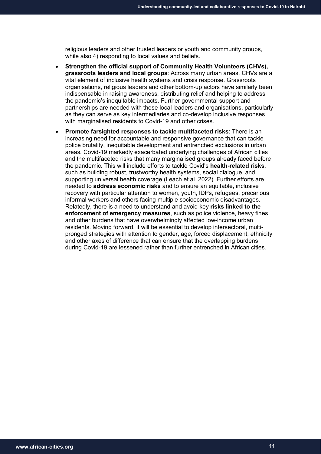religious leaders and other trusted leaders or youth and community groups, while also 4) responding to local values and beliefs.

- **Strengthen the official support of Community Health Volunteers (CHVs), grassroots leaders and local groups**: Across many urban areas, CHVs are a vital element of inclusive health systems and crisis response. Grassroots organisations, religious leaders and other bottom-up actors have similarly been indispensable in raising awareness, distributing relief and helping to address the pandemic's inequitable impacts. Further governmental support and partnerships are needed with these local leaders and organisations, particularly as they can serve as key intermediaries and co-develop inclusive responses with marginalised residents to Covid-19 and other crises.
- **Promote farsighted responses to tackle multifaceted risks**: There is an increasing need for accountable and responsive governance that can tackle police brutality, inequitable development and entrenched exclusions in urban areas. Covid-19 markedly exacerbated underlying challenges of African cities and the multifaceted risks that many marginalised groups already faced before the pandemic. This will include efforts to tackle Covid's **health-related risks**, such as building robust, trustworthy health systems, social dialogue, and supporting universal health coverage (Leach et al. 2022). Further efforts are needed to **address economic risks** and to ensure an equitable, inclusive recovery with particular attention to women, youth, IDPs, refugees, precarious informal workers and others facing multiple socioeconomic disadvantages. Relatedly, there is a need to understand and avoid key **risks linked to the enforcement of emergency measures**, such as police violence, heavy fines and other burdens that have overwhelmingly affected low-income urban residents. Moving forward, it will be essential to develop intersectoral, multipronged strategies with attention to gender, age, forced displacement, ethnicity and other axes of difference that can ensure that the overlapping burdens during Covid-19 are lessened rather than further entrenched in African cities.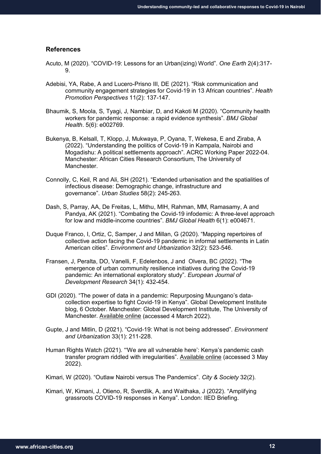#### **References**

- Acuto, M (2020). "COVID-19: Lessons for an Urban(izing) World". *One Earth* 2(4):317- 9.
- Adebisi, YA, Rabe, A and Lucero-Prisno III, DE (2021). "Risk communication and community engagement strategies for Covid-19 in 13 African countries". *Health Promotion Perspectives* 11(2): 137-147.
- Bhaumik, S, Moola, S, Tyagi, J, Nambiar, D, and Kakoti M (2020). "Community health workers for pandemic response: a rapid evidence synthesis". *BMJ Global Health*. 5(6): e002769.
- Bukenya, B, Kelsall, T, Klopp, J, Mukwaya, P, Oyana, T, Wekesa, E and Ziraba, A (2022). "Understanding the politics of Covid-19 in Kampala, Nairobi and Mogadishu: A political settlements approach". ACRC Working Paper 2022-04. Manchester: African Cities Research Consortium, The University of Manchester.
- Connolly, C, Keil, R and Ali, SH (2021). "Extended urbanisation and the spatialities of infectious disease: Demographic change, infrastructure and governance". *Urban Studies* 58(2): 245-263.
- Dash, S, Parray, AA, De Freitas, L, Mithu, MIH, Rahman, MM, Ramasamy, A and Pandya, AK (2021). "Combating the Covid-19 infodemic: A three-level approach for low and middle-income countries". *BMJ Global Health* 6(1): e004671.
- Duque Franco, I, Ortiz, C, Samper, J and Millan, G (2020). "Mapping repertoires of collective action facing the Covid-19 pandemic in informal settlements in Latin American cities". *Environment and Urbanization* 32(2): 523-546.
- Fransen, J, Peralta, DO, Vanelli, F, Edelenbos, J and Olvera, BC (2022). "The emergence of urban community resilience initiatives during the Covid-19 pandemic: An international exploratory study". *European Journal of Development Research* 34(1): 432-454.
- GDI (2020). "The power of data in a pandemic: Repurposing Muungano's datacollection expertise to fight Covid-19 in Kenya". Global Development Institute blog, 6 October. Manchester: Global Development Institute, The University of Manchester. [Available online](http://blog.gdi.manchester.ac.uk/the-power-of-data-in-a-pandemic/) (accessed 4 March 2022).
- Gupte, J and Mitlin, D (2021). "Covid-19: What is not being addressed". *Environment and Urbanization* 33(1): 211-228.
- Human Rights Watch (2021). "'We are all vulnerable here': Kenya's pandemic cash transfer program riddled with irregularities". [Available online](https://www.hrw.org/report/2021/07/20/we-are-all-vulnerable-here/kenyas-pandemic-cash-transfer-program-riddled) (accessed 3 May 2022).
- Kimari, W (2020). "Outlaw Nairobi versus The Pandemics". *City & Society* 32(2).
- Kimari, W, Kimani, J, Otieno, R, Sverdlik, A, and Waithaka, J (2022). "Amplifying grassroots COVID-19 responses in Kenya". London: IIED Briefing.